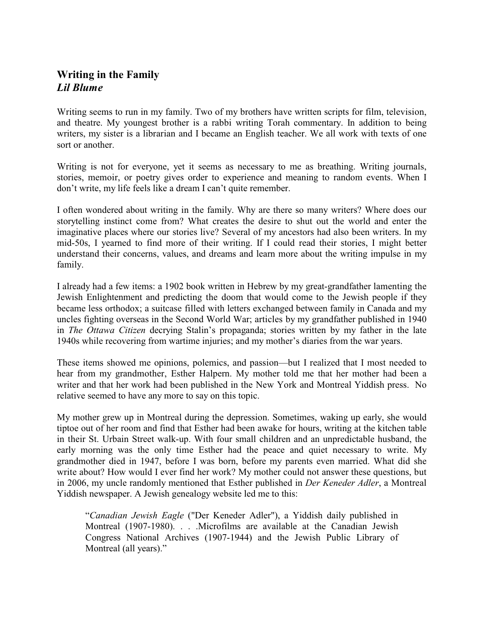## **Writing in the Family** *Lil Blume*

Writing seems to run in my family. Two of my brothers have written scripts for film, television, and theatre. My youngest brother is a rabbi writing Torah commentary. In addition to being writers, my sister is a librarian and I became an English teacher. We all work with texts of one sort or another.

Writing is not for everyone, yet it seems as necessary to me as breathing. Writing journals, stories, memoir, or poetry gives order to experience and meaning to random events. When I don't write, my life feels like a dream I can't quite remember.

I often wondered about writing in the family. Why are there so many writers? Where does our storytelling instinct come from? What creates the desire to shut out the world and enter the imaginative places where our stories live? Several of my ancestors had also been writers. In my mid-50s, I yearned to find more of their writing. If I could read their stories, I might better understand their concerns, values, and dreams and learn more about the writing impulse in my family.

I already had a few items: a 1902 book written in Hebrew by my great-grandfather lamenting the Jewish Enlightenment and predicting the doom that would come to the Jewish people if they became less orthodox; a suitcase filled with letters exchanged between family in Canada and my uncles fighting overseas in the Second World War; articles by my grandfather published in 1940 in *The Ottawa Citizen* decrying Stalin's propaganda; stories written by my father in the late 1940s while recovering from wartime injuries; and my mother's diaries from the war years.

These items showed me opinions, polemics, and passion—but I realized that I most needed to hear from my grandmother, Esther Halpern. My mother told me that her mother had been a writer and that her work had been published in the New York and Montreal Yiddish press. No relative seemed to have any more to say on this topic.

My mother grew up in Montreal during the depression. Sometimes, waking up early, she would tiptoe out of her room and find that Esther had been awake for hours, writing at the kitchen table in their St. Urbain Street walk-up. With four small children and an unpredictable husband, the early morning was the only time Esther had the peace and quiet necessary to write. My grandmother died in 1947, before I was born, before my parents even married. What did she write about? How would I ever find her work? My mother could not answer these questions, but in 2006, my uncle randomly mentioned that Esther published in *Der Keneder Adler*, a Montreal Yiddish newspaper. A Jewish genealogy website led me to this:

"*Canadian Jewish Eagle* ("Der Keneder Adler"), a Yiddish daily published in Montreal (1907-1980). . . .Microfilms are available at the Canadian Jewish Congress National Archives (1907-1944) and the Jewish Public Library of Montreal (all years)."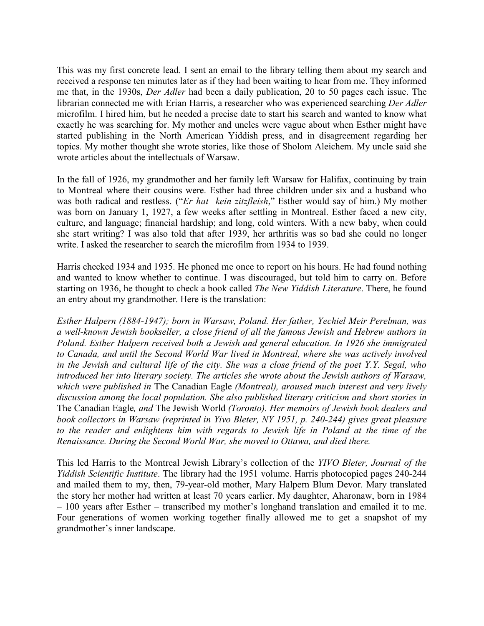This was my first concrete lead. I sent an email to the library telling them about my search and received a response ten minutes later as if they had been waiting to hear from me. They informed me that, in the 1930s, *Der Adler* had been a daily publication, 20 to 50 pages each issue. The librarian connected me with Erian Harris, a researcher who was experienced searching *Der Adler* microfilm. I hired him, but he needed a precise date to start his search and wanted to know what exactly he was searching for. My mother and uncles were vague about when Esther might have started publishing in the North American Yiddish press, and in disagreement regarding her topics. My mother thought she wrote stories, like those of Sholom Aleichem. My uncle said she wrote articles about the intellectuals of Warsaw.

In the fall of 1926, my grandmother and her family left Warsaw for Halifax, continuing by train to Montreal where their cousins were. Esther had three children under six and a husband who was both radical and restless. ("*Er hat kein zitzfleish*," Esther would say of him.) My mother was born on January 1, 1927, a few weeks after settling in Montreal. Esther faced a new city, culture, and language; financial hardship; and long, cold winters. With a new baby, when could she start writing? I was also told that after 1939, her arthritis was so bad she could no longer write. I asked the researcher to search the microfilm from 1934 to 1939.

Harris checked 1934 and 1935. He phoned me once to report on his hours. He had found nothing and wanted to know whether to continue. I was discouraged, but told him to carry on. Before starting on 1936, he thought to check a book called *The New Yiddish Literature*. There, he found an entry about my grandmother. Here is the translation:

*Esther Halpern (1884-1947); born in Warsaw, Poland. Her father, Yechiel Meir Perelman, was a well-known Jewish bookseller, a close friend of all the famous Jewish and Hebrew authors in Poland. Esther Halpern received both a Jewish and general education. In 1926 she immigrated to Canada, and until the Second World War lived in Montreal, where she was actively involved in the Jewish and cultural life of the city. She was a close friend of the poet Y.Y. Segal, who introduced her into literary society. The articles she wrote about the Jewish authors of Warsaw, which were published in* The Canadian Eagle *(Montreal), aroused much interest and very lively discussion among the local population. She also published literary criticism and short stories in* The Canadian Eagle*, and* The Jewish World *(Toronto). Her memoirs of Jewish book dealers and book collectors in Warsaw (reprinted in Yivo Bleter, NY 1951, p. 240-244) gives great pleasure to the reader and enlightens him with regards to Jewish life in Poland at the time of the Renaissance. During the Second World War, she moved to Ottawa, and died there.*

This led Harris to the Montreal Jewish Library's collection of the *YIVO Bleter, Journal of the Yiddish Scientific Institute*. The library had the 1951 volume. Harris photocopied pages 240-244 and mailed them to my, then, 79-year-old mother, Mary Halpern Blum Devor. Mary translated the story her mother had written at least 70 years earlier. My daughter, Aharonaw, born in 1984 – 100 years after Esther – transcribed my mother's longhand translation and emailed it to me. Four generations of women working together finally allowed me to get a snapshot of my grandmother's inner landscape.